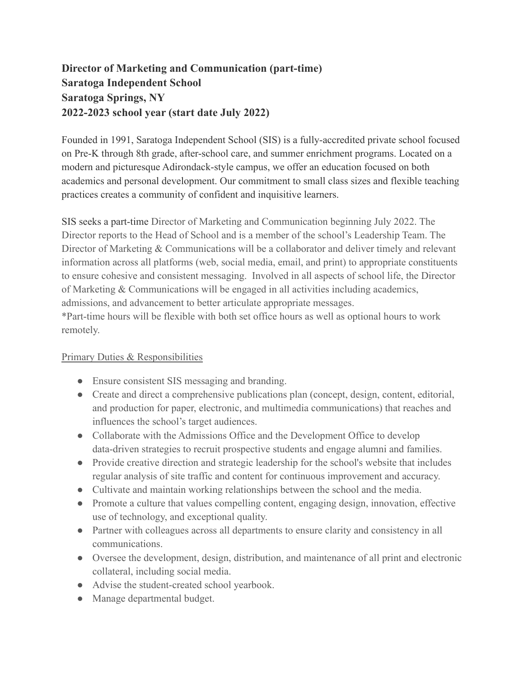## **Director of Marketing and Communication (part-time) Saratoga Independent School Saratoga Springs, NY 2022-2023 school year (start date July 2022)**

Founded in 1991, Saratoga Independent School (SIS) is a fully-accredited private school focused on Pre-K through 8th grade, after-school care, and summer enrichment programs. Located on a modern and picturesque Adirondack-style campus, we offer an education focused on both academics and personal development. Our commitment to small class sizes and flexible teaching practices creates a community of confident and inquisitive learners.

SIS seeks a part-time Director of Marketing and Communication beginning July 2022. The Director reports to the Head of School and is a member of the school's Leadership Team. The Director of Marketing & Communications will be a collaborator and deliver timely and relevant information across all platforms (web, social media, email, and print) to appropriate constituents to ensure cohesive and consistent messaging. Involved in all aspects of school life, the Director of Marketing & Communications will be engaged in all activities including academics, admissions, and advancement to better articulate appropriate messages.

\*Part-time hours will be flexible with both set office hours as well as optional hours to work remotely.

## Primary Duties & Responsibilities

- Ensure consistent SIS messaging and branding.
- Create and direct a comprehensive publications plan (concept, design, content, editorial, and production for paper, electronic, and multimedia communications) that reaches and influences the school's target audiences.
- Collaborate with the Admissions Office and the Development Office to develop data-driven strategies to recruit prospective students and engage alumni and families.
- Provide creative direction and strategic leadership for the school's website that includes regular analysis of site traffic and content for continuous improvement and accuracy.
- Cultivate and maintain working relationships between the school and the media.
- Promote a culture that values compelling content, engaging design, innovation, effective use of technology, and exceptional quality.
- Partner with colleagues across all departments to ensure clarity and consistency in all communications.
- Oversee the development, design, distribution, and maintenance of all print and electronic collateral, including social media.
- Advise the student-created school yearbook.
- Manage departmental budget.